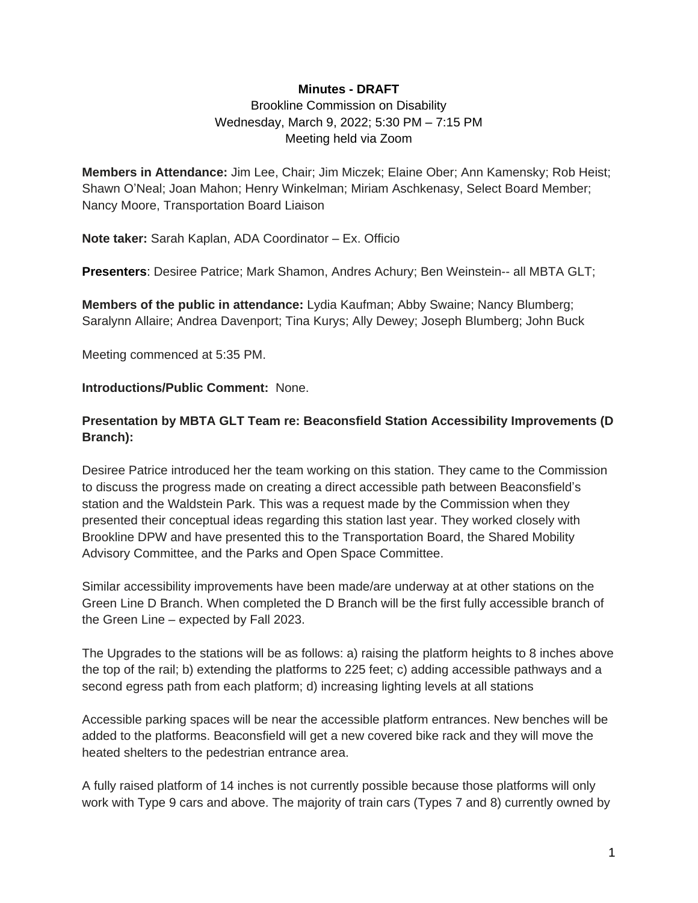#### **Minutes - DRAFT**

Brookline Commission on Disability Wednesday, March 9, 2022; 5:30 PM – 7:15 PM Meeting held via Zoom

**Members in Attendance:** Jim Lee, Chair; Jim Miczek; Elaine Ober; Ann Kamensky; Rob Heist; Shawn O'Neal; Joan Mahon; Henry Winkelman; Miriam Aschkenasy, Select Board Member; Nancy Moore, Transportation Board Liaison

**Note taker:** Sarah Kaplan, ADA Coordinator – Ex. Officio

**Presenters**: Desiree Patrice; Mark Shamon, Andres Achury; Ben Weinstein-- all MBTA GLT;

**Members of the public in attendance:** Lydia Kaufman; Abby Swaine; Nancy Blumberg; Saralynn Allaire; Andrea Davenport; Tina Kurys; Ally Dewey; Joseph Blumberg; John Buck

Meeting commenced at 5:35 PM.

**Introductions/Public Comment:** None.

## **Presentation by MBTA GLT Team re: Beaconsfield Station Accessibility Improvements (D Branch):**

Desiree Patrice introduced her the team working on this station. They came to the Commission to discuss the progress made on creating a direct accessible path between Beaconsfield's station and the Waldstein Park. This was a request made by the Commission when they presented their conceptual ideas regarding this station last year. They worked closely with Brookline DPW and have presented this to the Transportation Board, the Shared Mobility Advisory Committee, and the Parks and Open Space Committee.

Similar accessibility improvements have been made/are underway at at other stations on the Green Line D Branch. When completed the D Branch will be the first fully accessible branch of the Green Line – expected by Fall 2023.

The Upgrades to the stations will be as follows: a) raising the platform heights to 8 inches above the top of the rail; b) extending the platforms to 225 feet; c) adding accessible pathways and a second egress path from each platform; d) increasing lighting levels at all stations

Accessible parking spaces will be near the accessible platform entrances. New benches will be added to the platforms. Beaconsfield will get a new covered bike rack and they will move the heated shelters to the pedestrian entrance area.

A fully raised platform of 14 inches is not currently possible because those platforms will only work with Type 9 cars and above. The majority of train cars (Types 7 and 8) currently owned by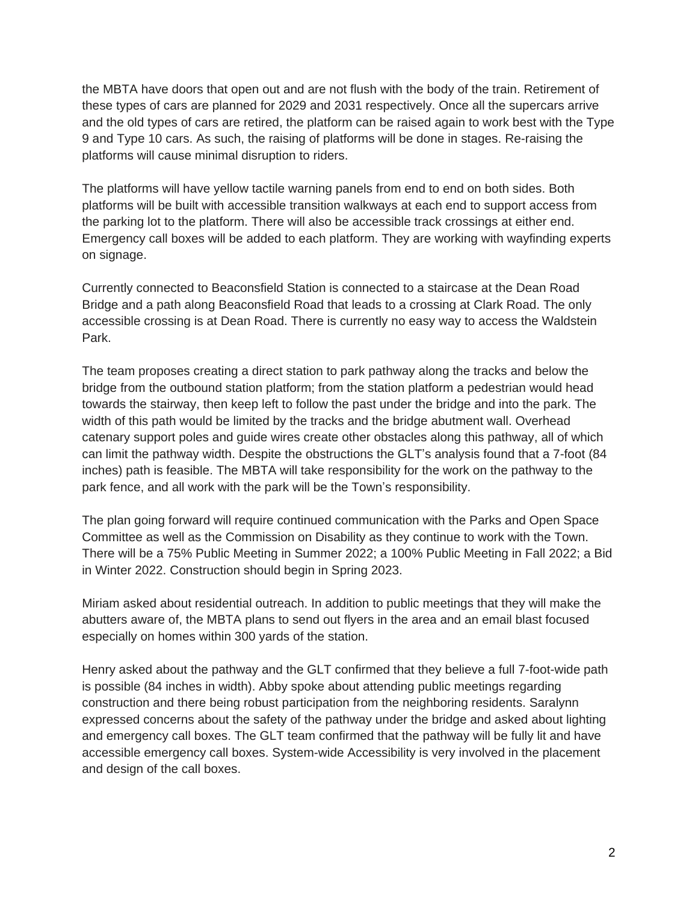the MBTA have doors that open out and are not flush with the body of the train. Retirement of these types of cars are planned for 2029 and 2031 respectively. Once all the supercars arrive and the old types of cars are retired, the platform can be raised again to work best with the Type 9 and Type 10 cars. As such, the raising of platforms will be done in stages. Re-raising the platforms will cause minimal disruption to riders.

The platforms will have yellow tactile warning panels from end to end on both sides. Both platforms will be built with accessible transition walkways at each end to support access from the parking lot to the platform. There will also be accessible track crossings at either end. Emergency call boxes will be added to each platform. They are working with wayfinding experts on signage.

Currently connected to Beaconsfield Station is connected to a staircase at the Dean Road Bridge and a path along Beaconsfield Road that leads to a crossing at Clark Road. The only accessible crossing is at Dean Road. There is currently no easy way to access the Waldstein Park.

The team proposes creating a direct station to park pathway along the tracks and below the bridge from the outbound station platform; from the station platform a pedestrian would head towards the stairway, then keep left to follow the past under the bridge and into the park. The width of this path would be limited by the tracks and the bridge abutment wall. Overhead catenary support poles and guide wires create other obstacles along this pathway, all of which can limit the pathway width. Despite the obstructions the GLT's analysis found that a 7-foot (84 inches) path is feasible. The MBTA will take responsibility for the work on the pathway to the park fence, and all work with the park will be the Town's responsibility.

The plan going forward will require continued communication with the Parks and Open Space Committee as well as the Commission on Disability as they continue to work with the Town. There will be a 75% Public Meeting in Summer 2022; a 100% Public Meeting in Fall 2022; a Bid in Winter 2022. Construction should begin in Spring 2023.

Miriam asked about residential outreach. In addition to public meetings that they will make the abutters aware of, the MBTA plans to send out flyers in the area and an email blast focused especially on homes within 300 yards of the station.

Henry asked about the pathway and the GLT confirmed that they believe a full 7-foot-wide path is possible (84 inches in width). Abby spoke about attending public meetings regarding construction and there being robust participation from the neighboring residents. Saralynn expressed concerns about the safety of the pathway under the bridge and asked about lighting and emergency call boxes. The GLT team confirmed that the pathway will be fully lit and have accessible emergency call boxes. System-wide Accessibility is very involved in the placement and design of the call boxes.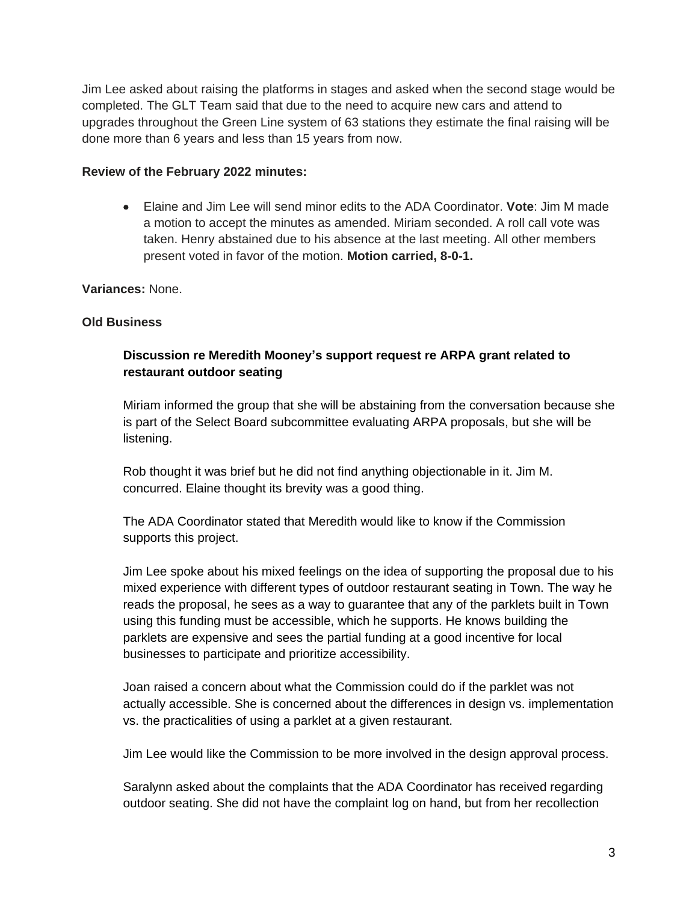Jim Lee asked about raising the platforms in stages and asked when the second stage would be completed. The GLT Team said that due to the need to acquire new cars and attend to upgrades throughout the Green Line system of 63 stations they estimate the final raising will be done more than 6 years and less than 15 years from now.

#### **Review of the February 2022 minutes:**

 Elaine and Jim Lee will send minor edits to the ADA Coordinator. **Vote**: Jim M made a motion to accept the minutes as amended. Miriam seconded. A roll call vote was taken. Henry abstained due to his absence at the last meeting. All other members present voted in favor of the motion. **Motion carried, 8-0-1.**

**Variances:** None.

## **Old Business**

# **Discussion re Meredith Mooney's support request re ARPA grant related to restaurant outdoor seating**

Miriam informed the group that she will be abstaining from the conversation because she is part of the Select Board subcommittee evaluating ARPA proposals, but she will be listening.

Rob thought it was brief but he did not find anything objectionable in it. Jim M. concurred. Elaine thought its brevity was a good thing.

The ADA Coordinator stated that Meredith would like to know if the Commission supports this project.

Jim Lee spoke about his mixed feelings on the idea of supporting the proposal due to his mixed experience with different types of outdoor restaurant seating in Town. The way he reads the proposal, he sees as a way to guarantee that any of the parklets built in Town using this funding must be accessible, which he supports. He knows building the parklets are expensive and sees the partial funding at a good incentive for local businesses to participate and prioritize accessibility.

Joan raised a concern about what the Commission could do if the parklet was not actually accessible. She is concerned about the differences in design vs. implementation vs. the practicalities of using a parklet at a given restaurant.

Jim Lee would like the Commission to be more involved in the design approval process.

Saralynn asked about the complaints that the ADA Coordinator has received regarding outdoor seating. She did not have the complaint log on hand, but from her recollection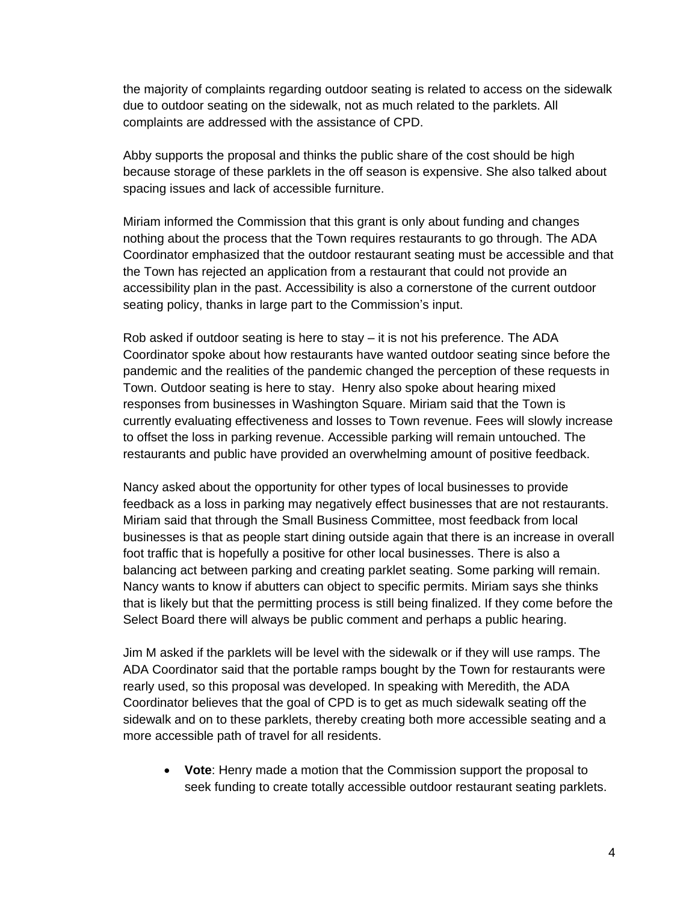the majority of complaints regarding outdoor seating is related to access on the sidewalk due to outdoor seating on the sidewalk, not as much related to the parklets. All complaints are addressed with the assistance of CPD.

Abby supports the proposal and thinks the public share of the cost should be high because storage of these parklets in the off season is expensive. She also talked about spacing issues and lack of accessible furniture.

Miriam informed the Commission that this grant is only about funding and changes nothing about the process that the Town requires restaurants to go through. The ADA Coordinator emphasized that the outdoor restaurant seating must be accessible and that the Town has rejected an application from a restaurant that could not provide an accessibility plan in the past. Accessibility is also a cornerstone of the current outdoor seating policy, thanks in large part to the Commission's input.

Rob asked if outdoor seating is here to stay – it is not his preference. The ADA Coordinator spoke about how restaurants have wanted outdoor seating since before the pandemic and the realities of the pandemic changed the perception of these requests in Town. Outdoor seating is here to stay. Henry also spoke about hearing mixed responses from businesses in Washington Square. Miriam said that the Town is currently evaluating effectiveness and losses to Town revenue. Fees will slowly increase to offset the loss in parking revenue. Accessible parking will remain untouched. The restaurants and public have provided an overwhelming amount of positive feedback.

Nancy asked about the opportunity for other types of local businesses to provide feedback as a loss in parking may negatively effect businesses that are not restaurants. Miriam said that through the Small Business Committee, most feedback from local businesses is that as people start dining outside again that there is an increase in overall foot traffic that is hopefully a positive for other local businesses. There is also a balancing act between parking and creating parklet seating. Some parking will remain. Nancy wants to know if abutters can object to specific permits. Miriam says she thinks that is likely but that the permitting process is still being finalized. If they come before the Select Board there will always be public comment and perhaps a public hearing.

Jim M asked if the parklets will be level with the sidewalk or if they will use ramps. The ADA Coordinator said that the portable ramps bought by the Town for restaurants were rearly used, so this proposal was developed. In speaking with Meredith, the ADA Coordinator believes that the goal of CPD is to get as much sidewalk seating off the sidewalk and on to these parklets, thereby creating both more accessible seating and a more accessible path of travel for all residents.

 **Vote**: Henry made a motion that the Commission support the proposal to seek funding to create totally accessible outdoor restaurant seating parklets.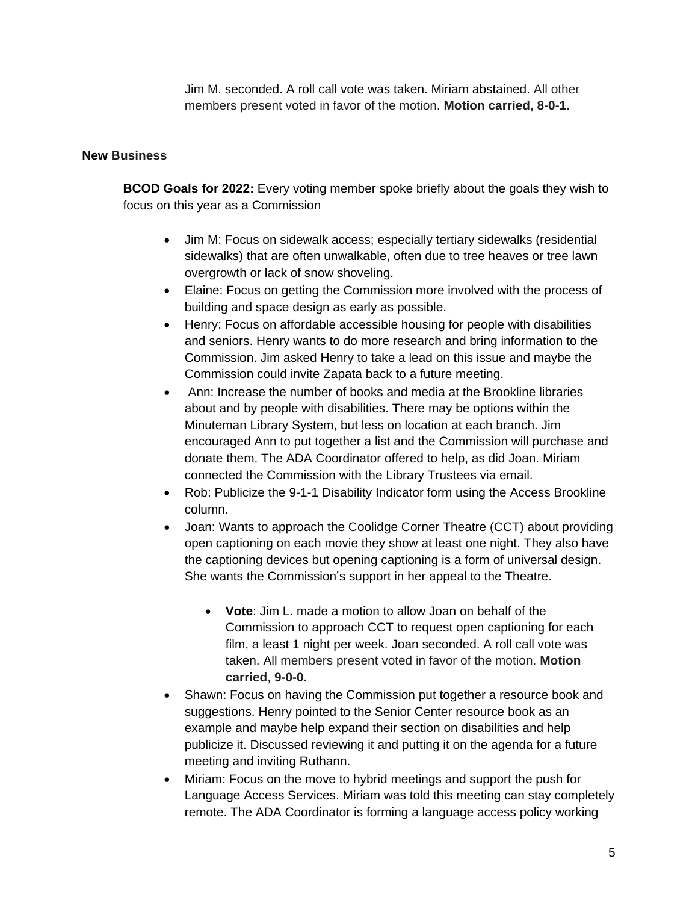Jim M. seconded. A roll call vote was taken. Miriam abstained. All other members present voted in favor of the motion. **Motion carried, 8-0-1.**

#### **New Business**

**BCOD Goals for 2022:** Every voting member spoke briefly about the goals they wish to focus on this year as a Commission

- Jim M: Focus on sidewalk access; especially tertiary sidewalks (residential sidewalks) that are often unwalkable, often due to tree heaves or tree lawn overgrowth or lack of snow shoveling.
- Elaine: Focus on getting the Commission more involved with the process of building and space design as early as possible.
- Henry: Focus on affordable accessible housing for people with disabilities and seniors. Henry wants to do more research and bring information to the Commission. Jim asked Henry to take a lead on this issue and maybe the Commission could invite Zapata back to a future meeting.
- Ann: Increase the number of books and media at the Brookline libraries about and by people with disabilities. There may be options within the Minuteman Library System, but less on location at each branch. Jim encouraged Ann to put together a list and the Commission will purchase and donate them. The ADA Coordinator offered to help, as did Joan. Miriam connected the Commission with the Library Trustees via email.
- Rob: Publicize the 9-1-1 Disability Indicator form using the Access Brookline column.
- Joan: Wants to approach the Coolidge Corner Theatre (CCT) about providing open captioning on each movie they show at least one night. They also have the captioning devices but opening captioning is a form of universal design. She wants the Commission's support in her appeal to the Theatre.
	- **Vote**: Jim L. made a motion to allow Joan on behalf of the Commission to approach CCT to request open captioning for each film, a least 1 night per week. Joan seconded. A roll call vote was taken. All members present voted in favor of the motion. **Motion carried, 9-0-0.**
- Shawn: Focus on having the Commission put together a resource book and suggestions. Henry pointed to the Senior Center resource book as an example and maybe help expand their section on disabilities and help publicize it. Discussed reviewing it and putting it on the agenda for a future meeting and inviting Ruthann.
- Miriam: Focus on the move to hybrid meetings and support the push for Language Access Services. Miriam was told this meeting can stay completely remote. The ADA Coordinator is forming a language access policy working